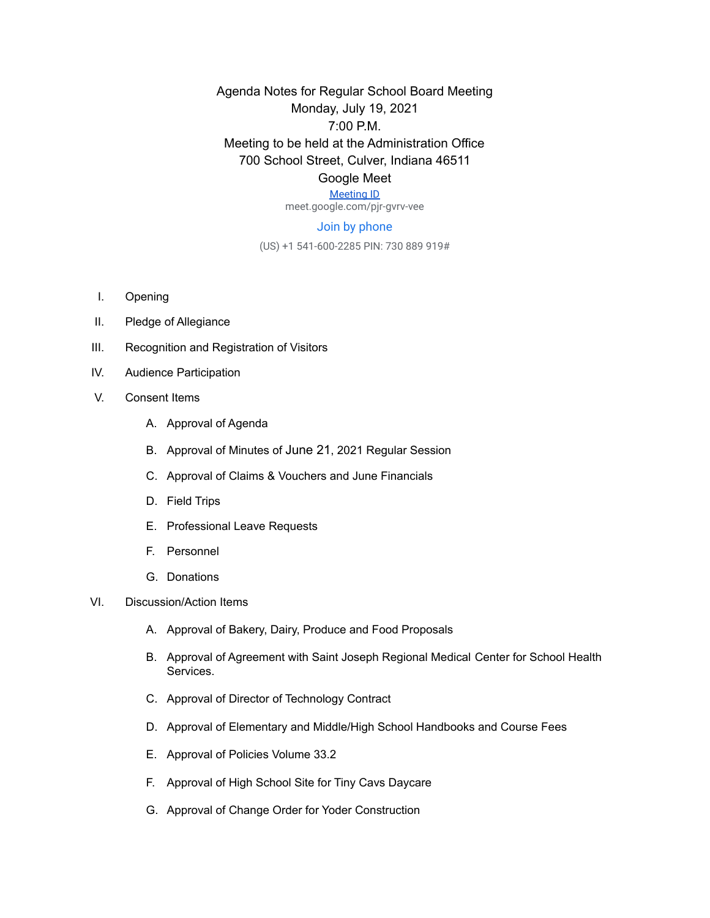Agenda Notes for Regular School Board Meeting Monday, July 19, 2021 7:00 P.M. Meeting to be held at the Administration Office 700 School Street, Culver, Indiana 46511 Google Meet

## [Meeting ID](https://meet.google.com/pjr-gvrv-vee)

meet.google.com/pjr-gvrv-vee

## Join by phone

(US) +1 541-600-2285 PIN: 730 889 919#

- I. Opening
- II. Pledge of Allegiance
- III. Recognition and Registration of Visitors
- IV. Audience Participation
- V. Consent Items
	- A. Approval of Agenda
	- B. Approval of Minutes of June 21, 2021 Regular Session
	- C. Approval of Claims & Vouchers and June Financials
	- D. Field Trips
	- E. Professional Leave Requests
	- F. Personnel
	- G. Donations
- VI. Discussion/Action Items
	- A. Approval of Bakery, Dairy, Produce and Food Proposals
	- B. Approval of Agreement with Saint Joseph Regional Medical Center for School Health Services.
	- C. Approval of Director of Technology Contract
	- D. Approval of Elementary and Middle/High School Handbooks and Course Fees
	- E. Approval of Policies Volume 33.2
	- F. Approval of High School Site for Tiny Cavs Daycare
	- G. Approval of Change Order for Yoder Construction